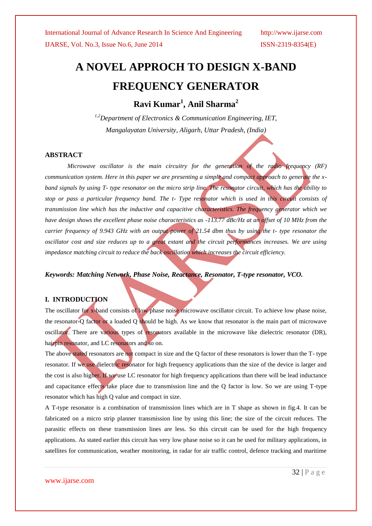# **A NOVEL APPROCH TO DESIGN X-BAND FREQUENCY GENERATOR**

**Ravi Kumar<sup>1</sup> , Anil Sharma<sup>2</sup>**

*1,2Department of Electronics & Communication Engineering, IET, Mangalayatan University, Aligarh, Uttar Pradesh, (India)*

### **ABSTRACT**

*Microwave oscillator is the main circuitry for the generation of the radio frequency (RF) communication system. Here in this paper we are presenting a simple and compact approach to generate the xband signals by using T- type resonator on the micro strip line. The resonator circuit, which has the ability to stop or pass a particular frequency band. The t- Type resonator which is used in this circuit consists of transmission line which has the inductive and capacitive characteristics. The frequency generator which we have design shows the excellent phase noise characteristics as -113.77 dBc/Hz at an offset of 10 MHz from the carrier frequency of 9.943 GHz with an output power of 21.54 dbm thus by using the t- type resonator the oscillator cost and size reduces up to a great extant and the circuit performances increases. We are using impedance matching circuit to reduce the back oscillation which increases the circuit efficiency.*

### *Keywords: Matching Network, Phase Noise, Reactance, Resonator, T-type resonator, VCO.*

### **I. INTRODUCTION**

The oscillator for x-band consists of low phase noise microwave oscillator circuit. To achieve low phase noise, the resonator-Q factor or a loaded Q should be high. As we know that resonator is the main part of microwave oscillator. There are various types of resonators available in the microwave like dielectric resonator (DR), hairpin resonator, and LC resonators and so on.

The above stated resonators are not compact in size and the Q factor of these resonators is lower than the T- type resonator. If we use dielectric resonator for high frequency applications than the size of the device is larger and the cost is also higher. If we use LC resonator for high frequency applications than there will be lead inductance and capacitance effects take place due to transmission line and the Q factor is low. So we are using T-type resonator which has high Q value and compact in size.

A T-type resonator is a combination of transmission lines which are in T shape as shown in fig.4. It can be fabricated on a micro strip planner transmission line by using this line; the size of the circuit reduces. The parasitic effects on these transmission lines are less. So this circuit can be used for the high frequency applications. As stated earlier this circuit has very low phase noise so it can be used for military applications, in satellites for communication, weather monitoring, in radar for air traffic control, defence tracking and maritime

### [www.ijarse.com](http://www.ijarse.com/)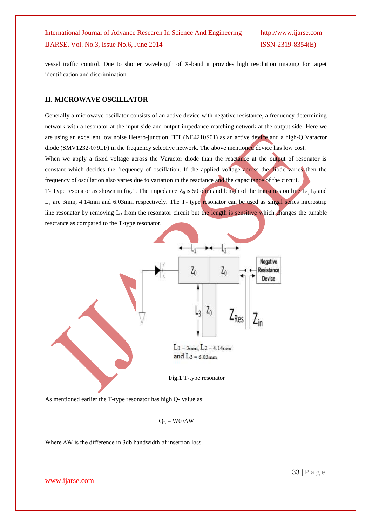vessel traffic control. Due to shorter wavelength of X-band it provides high resolution imaging for target identification and discrimination.

### **II. MICROWAVE OSCILLATOR**

Generally a microwave oscillator consists of an active device with negative resistance, a frequency determining network with a resonator at the input side and output impedance matching network at the output side. Here we are using an excellent low noise Hetero-junction FET (NE4210S01) as an active device and a high-Q Varactor diode (SMV1232-079LF) in the frequency selective network. The above mentioned device has low cost.

When we apply a fixed voltage across the Varactor diode than the reactance at the output of resonator is constant which decides the frequency of oscillation. If the applied voltage across the diode varies then the frequency of oscillation also varies due to variation in the reactance and the capacitance of the circuit.

T- Type resonator as shown in fig.1. The impedance  $Z_0$  is 50 ohm and length of the transmission line  $L_1$ ,  $L_2$  and L<sup>3</sup> are 3mm, 4.14mm and 6.03mm respectively. The T- type resonator can be used as singal series microstrip line resonator by removing  $L_3$  from the resonator circuit but the length is sensitive which changes the tunable reactance as compared to the T-type resonator.



As mentioned earlier the T-type resonator has high Q- value as:

$$
Q_L = W0 \, / \Delta W
$$

Where ∆W is the difference in 3db bandwidth of insertion loss.

[www.ijarse.com](http://www.ijarse.com/)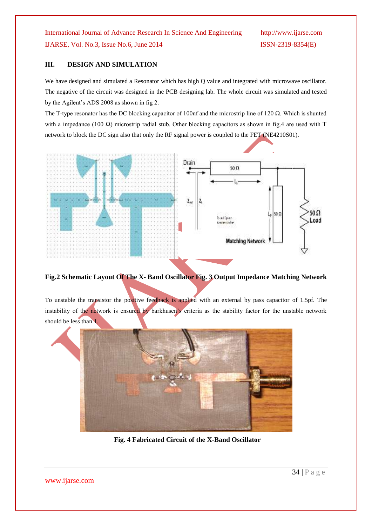# **III. DESIGN AND SIMULATION**

We have designed and simulated a Resonator which has high Q value and integrated with microwave oscillator. The negative of the circuit was designed in the PCB designing lab. The whole circuit was simulated and tested by the Agilent's ADS 2008 as shown in fig 2.

The T-type resonator has the DC blocking capacitor of 100nf and the microstrip line of 120  $\Omega$ . Which is shunted with a impedance (100  $\Omega$ ) microstrip radial stub. Other blocking capacitors as shown in fig.4 are used with T network to block the DC sign also that only the RF signal power is coupled to the FET (NE4210S01).



**Fig.2 Schematic Layout Of The X- Band Oscillator Fig. 3 Output Impedance Matching Network**

To unstable the transistor the positive feedback is applied with an external by pass capacitor of 1.5pf. The instability of the network is ensured by barkhusen's criteria as the stability factor for the unstable network should be less than 1.



**Fig. 4 Fabricated Circuit of the X-Band Oscillator**

[www.ijarse.com](http://www.ijarse.com/)

34 | P a g e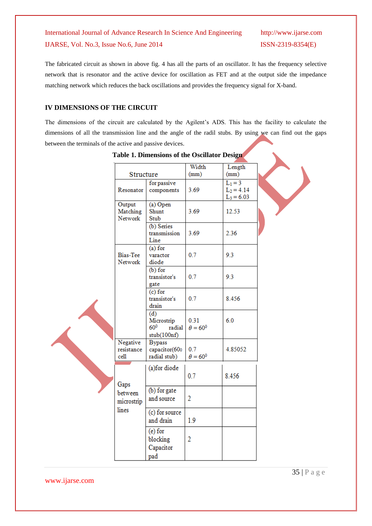The fabricated circuit as shown in above fig. 4 has all the parts of an oscillator. It has the frequency selective network that is resonator and the active device for oscillation as FET and at the output side the impedance matching network which reduces the back oscillations and provides the frequency signal for X-band.

### **IV DIMENSIONS OF THE CIRCUIT**

The dimensions of the circuit are calculated by the Agilent's ADS. This has the facility to calculate the dimensions of all the transmission line and the angle of the radil stubs. By using we can find out the gaps between the terminals of the active and passive devices.

| Structure                      |                                                               | Width<br>(mm)                 | Length<br>(mm)                            |  |
|--------------------------------|---------------------------------------------------------------|-------------------------------|-------------------------------------------|--|
| Resonator                      | for passive<br>components                                     | 3.69                          | $L_1 = 3$<br>$L_2 = 4.14$<br>$L_3 = 6.03$ |  |
| Output<br>Matching<br>Network  | (a) Open<br>Shunt<br>Stub                                     | 3.69                          | 12.53                                     |  |
|                                | (b) Series<br>transmission<br>Line                            | 3.69                          | 2.36                                      |  |
| Bias-Tee<br>Network            | $(a)$ for<br>varactor<br>diode                                | 0.7                           | 9.3                                       |  |
|                                | $(b)$ for<br>transistor's<br>gate                             | 0.7                           | 9.3                                       |  |
|                                | $(c)$ for<br>transistor's<br>drain                            | 0.7                           | 8.456                                     |  |
|                                | (d)<br>Microstrip<br>60 <sup>0</sup><br>radial<br>stub(100nf) | 0.31<br>$\theta = 60^{\circ}$ | 6.0                                       |  |
| Negative<br>resistance<br>cell | <b>Bypass</b><br>capacitor(600<br>radial stub)                | 0.7<br>$\theta = 60^{\circ}$  | 4.85052                                   |  |
| Gaps                           | (a)for diode                                                  | 0.7                           | 8.456                                     |  |
| between<br>microstrip          | (b) for gate<br>and source                                    | 2                             |                                           |  |
| lines                          | (c) for source<br>and drain                                   | 1.9                           |                                           |  |
|                                | (e) for<br>blocking<br>Capacitor<br>pad                       | 2                             |                                           |  |

**Table 1. Dimensions of the Oscillator Design**

[www.ijarse.com](http://www.ijarse.com/)

35 | P a g e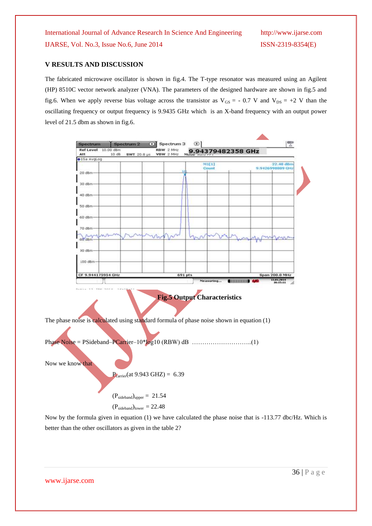### **V RESULTS AND DISCUSSION**

The fabricated microwave oscillator is shown in fig.4. The T-type resonator was measured using an Agilent (HP) 8510C vector network analyzer (VNA). The parameters of the designed hardware are shown in fig.5 and fig.6. When we apply reverse bias voltage across the transistor as  $V_{GS} = -0.7$  V and  $V_{DS} = +2$  V than the oscillating frequency or output frequency is 9.9435 GHz which is an X-band frequency with an output power level of 21.5 dbm as shown in fig.6.



Now by the formula given in equation (1) we have calculated the phase noise that is -113.77 dbc/Hz. Which is better than the other oscillators as given in the table 2?

[www.ijarse.com](http://www.ijarse.com/)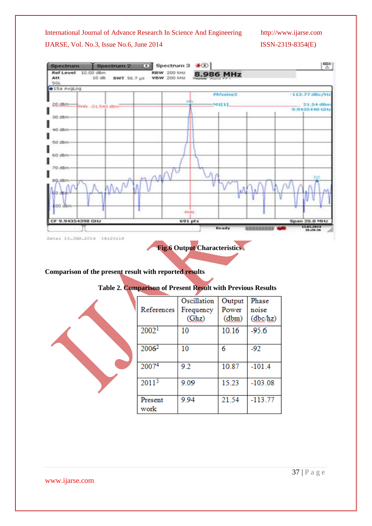

**Fig.6 Output Characteristics**

**Comparison of the present result with reported results**

# **Table 2. Comparison of Present Result with Previous Results**

| References        | Oscillation<br>Frequency<br>(Ghz) | Output<br>Power<br>(dbm) | Phase<br>noise<br>(dbc/hz) |
|-------------------|-----------------------------------|--------------------------|----------------------------|
| 2002 <sup>1</sup> | 10                                | 10.16                    | $-95.6$                    |
| 2006 <sup>2</sup> | 10                                | 6                        | $-92$                      |
| 20074             | 92                                | 10.87                    | $-101.4$                   |
| $2011^{5}$        | 9.09                              | 15.23                    | $-103.08$                  |
| Present<br>work   | 9.94                              | 21.54                    | $-113.77$                  |

[www.ijarse.com](http://www.ijarse.com/)

37 | P a g e